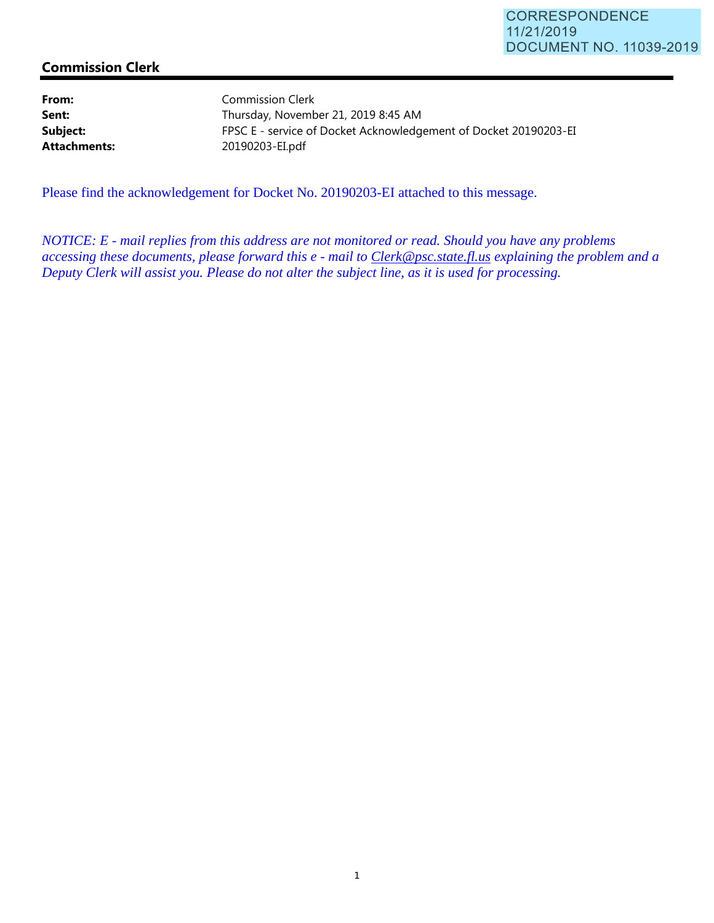## **Commission Clerk**

From: Commission Clerk Sent: Thursday, November 21, 2019 8:45 AM **Subject:** FPSC E - service of Docket Acknowledgement of Docket 20190203-EI **Attachments:** 20190203-EI.pdf

Please find the acknowledgement for Docket No. 20190203-EI attached to this message.

*NOTICE: E - mail replies from this address are not monitored or read. Should you have any problems accessing these documents, please forward this e - mail to Clerk@psc.state.fl.us explaining the problem and a Deputy Clerk will assist you. Please do not alter the subject line, as it is used for processing.*